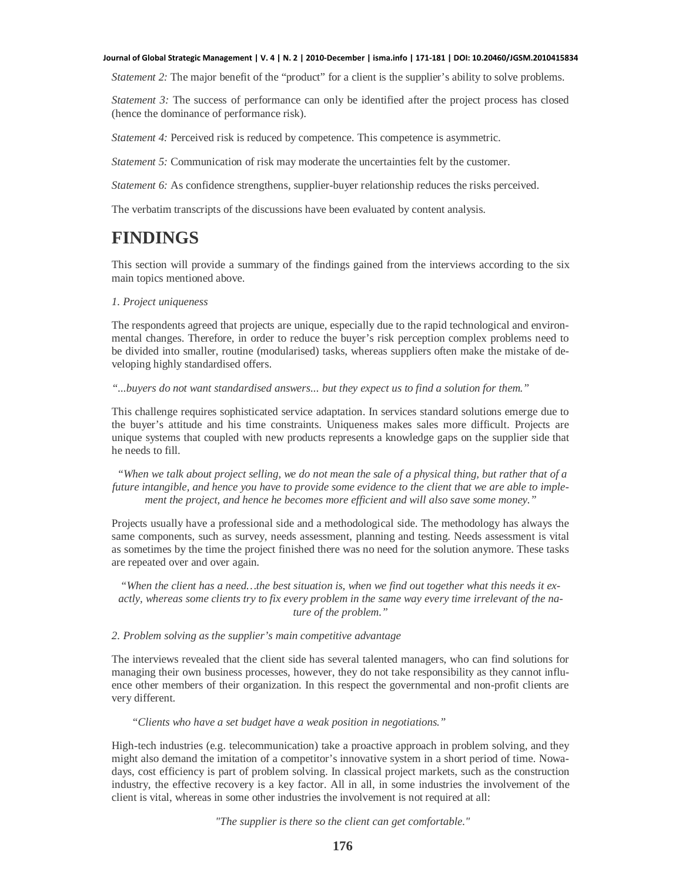*Statement 2:* The major benefit of the "product" for a client is the supplier's ability to solve problems.

*Statement 3:* The success of performance can only be identified after the project process has closed (hence the dominance of performance risk).

*Statement 4:* Perceived risk is reduced by competence. This competence is asymmetric.

*Statement 5:* Communication of risk may moderate the uncertainties felt by the customer.

*Statement 6:* As confidence strengthens, supplier-buyer relationship reduces the risks perceived.

The verbatim transcripts of the discussions have been evaluated by content analysis.

# **FINDINGS**

This section will provide a summary of the findings gained from the interviews according to the six main topics mentioned above.

# *1. Project uniqueness*

The respondents agreed that projects are unique, especially due to the rapid technological and environmental changes. Therefore, in order to reduce the buyer's risk perception complex problems need to be divided into smaller, routine (modularised) tasks, whereas suppliers often make the mistake of developing highly standardised offers.

## *"...buyers do not want standardised answers... but they expect us to find a solution for them."*

This challenge requires sophisticated service adaptation. In services standard solutions emerge due to the buyer's attitude and his time constraints. Uniqueness makes sales more difficult. Projects are unique systems that coupled with new products represents a knowledge gaps on the supplier side that he needs to fill.

 *"When we talk about project selling, we do not mean the sale of a physical thing, but rather that of a future intangible, and hence you have to provide some evidence to the client that we are able to implement the project, and hence he becomes more efficient and will also save some money."*

Projects usually have a professional side and a methodological side. The methodology has always the same components, such as survey, needs assessment, planning and testing. Needs assessment is vital as sometimes by the time the project finished there was no need for the solution anymore. These tasks are repeated over and over again.

*"When the client has a need…the best situation is, when we find out together what this needs it exactly, whereas some clients try to fix every problem in the same way every time irrelevant of the nature of the problem."*

# *2. Problem solving as the supplier's main competitive advantage*

The interviews revealed that the client side has several talented managers, who can find solutions for managing their own business processes, however, they do not take responsibility as they cannot influence other members of their organization. In this respect the governmental and non-profit clients are very different.

*"Clients who have a set budget have a weak position in negotiations."*

High-tech industries (e.g. telecommunication) take a proactive approach in problem solving, and they might also demand the imitation of a competitor's innovative system in a short period of time. Nowadays, cost efficiency is part of problem solving. In classical project markets, such as the construction industry, the effective recovery is a key factor. All in all, in some industries the involvement of the client is vital, whereas in some other industries the involvement is not required at all:

*"The supplier is there so the client can get comfortable."*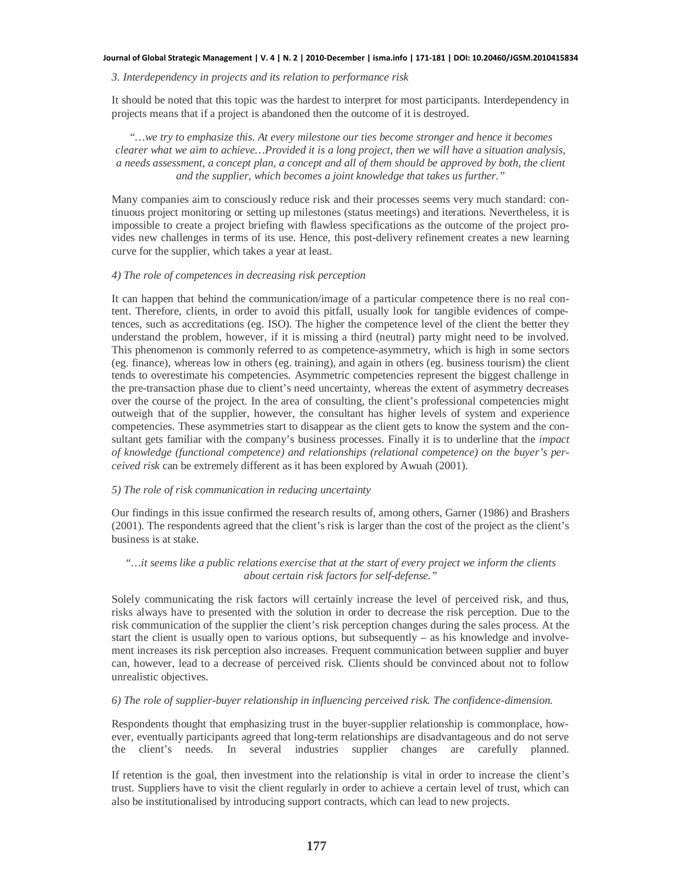## *3. Interdependency in projects and its relation to performance risk*

It should be noted that this topic was the hardest to interpret for most participants. Interdependency in projects means that if a project is abandoned then the outcome of it is destroyed.

*"…we try to emphasize this. At every milestone our ties become stronger and hence it becomes clearer what we aim to achieve…Provided it is a long project, then we will have a situation analysis, a needs assessment, a concept plan, a concept and all of them should be approved by both, the client and the supplier, which becomes a joint knowledge that takes us further."*

Many companies aim to consciously reduce risk and their processes seems very much standard: continuous project monitoring or setting up milestones (status meetings) and iterations. Nevertheless, it is impossible to create a project briefing with flawless specifications as the outcome of the project provides new challenges in terms of its use. Hence, this post-delivery refinement creates a new learning curve for the supplier, which takes a year at least.

## *4) The role of competences in decreasing risk perception*

It can happen that behind the communication/image of a particular competence there is no real content. Therefore, clients, in order to avoid this pitfall, usually look for tangible evidences of competences, such as accreditations (eg. ISO). The higher the competence level of the client the better they understand the problem, however, if it is missing a third (neutral) party might need to be involved. This phenomenon is commonly referred to as competence-asymmetry, which is high in some sectors (eg. finance), whereas low in others (eg. training), and again in others (eg. business tourism) the client tends to overestimate his competencies. Asymmetric competencies represent the biggest challenge in the pre-transaction phase due to client's need uncertainty, whereas the extent of asymmetry decreases over the course of the project. In the area of consulting, the client's professional competencies might outweigh that of the supplier, however, the consultant has higher levels of system and experience competencies. These asymmetries start to disappear as the client gets to know the system and the consultant gets familiar with the company's business processes. Finally it is to underline that the *impact of knowledge (functional competence) and relationships (relational competence) on the buyer's perceived risk* can be extremely different as it has been explored by Awuah (2001).

# *5) The role of risk communication in reducing uncertainty*

Our findings in this issue confirmed the research results of, among others, Garner (1986) and Brashers (2001). The respondents agreed that the client's risk is larger than the cost of the project as the client's business is at stake.

# *"…it seems like a public relations exercise that at the start of every project we inform the clients about certain risk factors for self-defense."*

Solely communicating the risk factors will certainly increase the level of perceived risk, and thus, risks always have to presented with the solution in order to decrease the risk perception. Due to the risk communication of the supplier the client's risk perception changes during the sales process. At the start the client is usually open to various options, but subsequently – as his knowledge and involvement increases its risk perception also increases. Frequent communication between supplier and buyer can, however, lead to a decrease of perceived risk. Clients should be convinced about not to follow unrealistic objectives.

# *6) The role of supplier-buyer relationship in influencing perceived risk. The confidence-dimension.*

Respondents thought that emphasizing trust in the buyer-supplier relationship is commonplace, however, eventually participants agreed that long-term relationships are disadvantageous and do not serve the client's needs. In several industries supplier changes are carefully planned.

If retention is the goal, then investment into the relationship is vital in order to increase the client's trust. Suppliers have to visit the client regularly in order to achieve a certain level of trust, which can also be institutionalised by introducing support contracts, which can lead to new projects.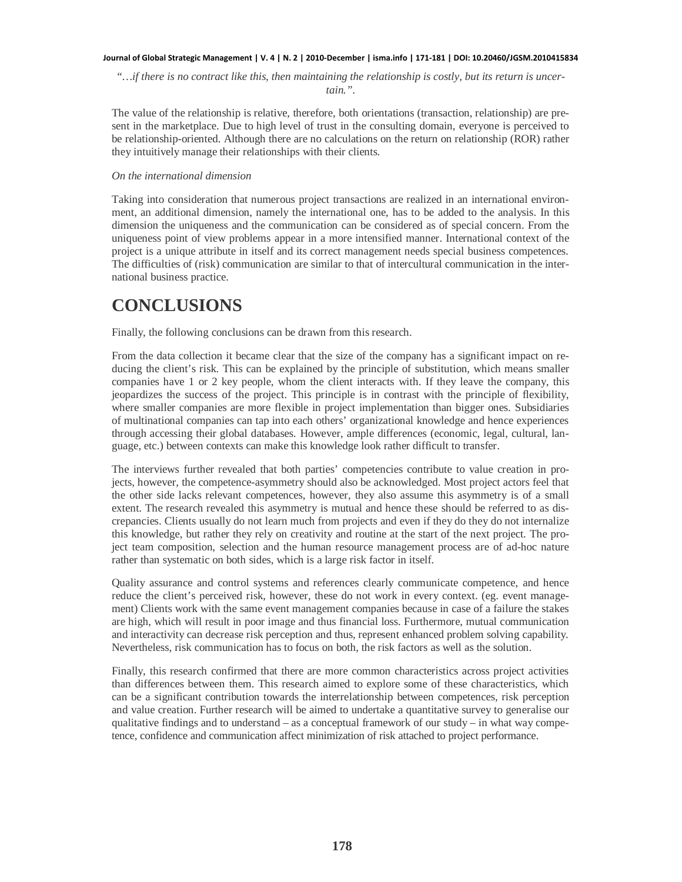*"…if there is no contract like this, then maintaining the relationship is costly, but its return is uncertain.".*

The value of the relationship is relative, therefore, both orientations (transaction, relationship) are present in the marketplace. Due to high level of trust in the consulting domain, everyone is perceived to be relationship-oriented. Although there are no calculations on the return on relationship (ROR) rather they intuitively manage their relationships with their clients.

## *On the international dimension*

Taking into consideration that numerous project transactions are realized in an international environment, an additional dimension, namely the international one, has to be added to the analysis. In this dimension the uniqueness and the communication can be considered as of special concern. From the uniqueness point of view problems appear in a more intensified manner. International context of the project is a unique attribute in itself and its correct management needs special business competences. The difficulties of (risk) communication are similar to that of intercultural communication in the international business practice.

# **CONCLUSIONS**

Finally, the following conclusions can be drawn from this research.

From the data collection it became clear that the size of the company has a significant impact on reducing the client's risk. This can be explained by the principle of substitution, which means smaller companies have 1 or 2 key people, whom the client interacts with. If they leave the company, this jeopardizes the success of the project. This principle is in contrast with the principle of flexibility, where smaller companies are more flexible in project implementation than bigger ones. Subsidiaries of multinational companies can tap into each others' organizational knowledge and hence experiences through accessing their global databases. However, ample differences (economic, legal, cultural, language, etc.) between contexts can make this knowledge look rather difficult to transfer.

The interviews further revealed that both parties' competencies contribute to value creation in projects, however, the competence-asymmetry should also be acknowledged. Most project actors feel that the other side lacks relevant competences, however, they also assume this asymmetry is of a small extent. The research revealed this asymmetry is mutual and hence these should be referred to as discrepancies. Clients usually do not learn much from projects and even if they do they do not internalize this knowledge, but rather they rely on creativity and routine at the start of the next project. The project team composition, selection and the human resource management process are of ad-hoc nature rather than systematic on both sides, which is a large risk factor in itself.

Quality assurance and control systems and references clearly communicate competence, and hence reduce the client's perceived risk, however, these do not work in every context. (eg. event management) Clients work with the same event management companies because in case of a failure the stakes are high, which will result in poor image and thus financial loss. Furthermore, mutual communication and interactivity can decrease risk perception and thus, represent enhanced problem solving capability. Nevertheless, risk communication has to focus on both, the risk factors as well as the solution.

Finally, this research confirmed that there are more common characteristics across project activities than differences between them. This research aimed to explore some of these characteristics, which can be a significant contribution towards the interrelationship between competences, risk perception and value creation. Further research will be aimed to undertake a quantitative survey to generalise our qualitative findings and to understand  $-$  as a conceptual framework of our study  $-$  in what way competence, confidence and communication affect minimization of risk attached to project performance.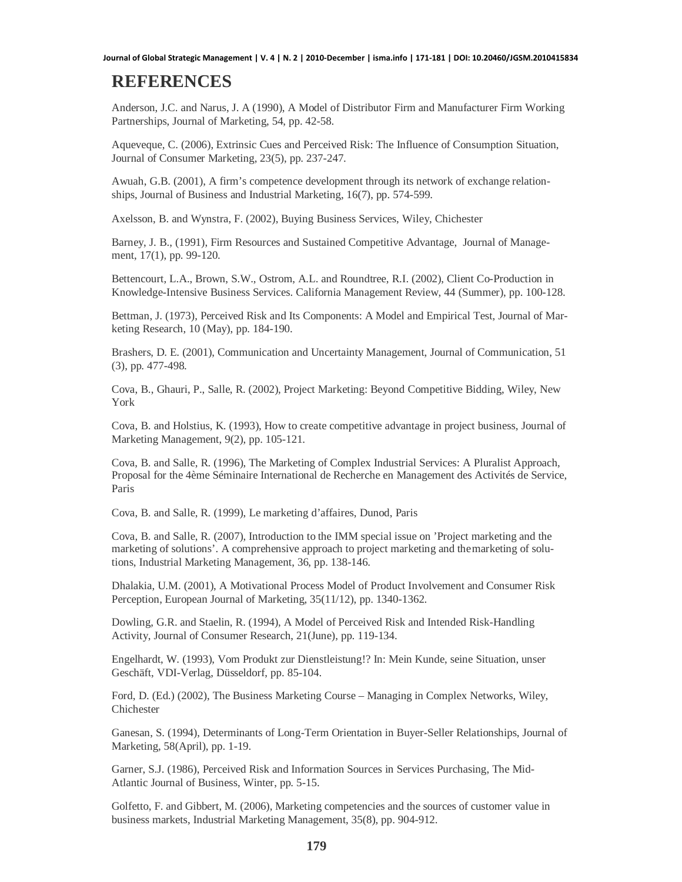# **REFERENCES**

Anderson, J.C. and Narus, J. A (1990), A Model of Distributor Firm and Manufacturer Firm Working Partnerships, Journal of Marketing, 54, pp. 42-58.

Aqueveque, C. (2006), Extrinsic Cues and Perceived Risk: The Influence of Consumption Situation, Journal of Consumer Marketing, 23(5), pp. 237-247.

Awuah, G.B. (2001), A firm's competence development through its network of exchange relationships, Journal of Business and Industrial Marketing, 16(7), pp. 574-599.

Axelsson, B. and Wynstra, F. (2002), Buying Business Services, Wiley, Chichester

Barney, J. B., (1991), Firm Resources and Sustained Competitive Advantage, Journal of Management, 17(1), pp. 99-120.

Bettencourt, L.A., Brown, S.W., Ostrom, A.L. and Roundtree, R.I. (2002), Client Co-Production in Knowledge-Intensive Business Services. California Management Review, 44 (Summer), pp. 100-128.

Bettman, J. (1973), Perceived Risk and Its Components: A Model and Empirical Test, Journal of Marketing Research, 10 (May), pp. 184-190.

Brashers, D. E. (2001), Communication and Uncertainty Management, Journal of Communication, 51 (3), pp. 477-498.

Cova, B., Ghauri, P., Salle, R. (2002), Project Marketing: Beyond Competitive Bidding, Wiley, New York

Cova, B. and Holstius, K. (1993), How to create competitive advantage in project business, Journal of Marketing Management, 9(2), pp. 105-121.

Cova, B. and Salle, R. (1996), The Marketing of Complex Industrial Services: A Pluralist Approach, Proposal for the 4ème Séminaire International de Recherche en Management des Activités de Service, Paris

Cova, B. and Salle, R. (1999), Le marketing d'affaires, Dunod, Paris

Cova, B. and Salle, R. (2007), Introduction to the IMM special issue on 'Project marketing and the marketing of solutions'. A comprehensive approach to project marketing and the marketing of solutions, Industrial Marketing Management, 36, pp. 138-146.

Dhalakia, U.M. (2001), A Motivational Process Model of Product Involvement and Consumer Risk Perception, European Journal of Marketing, 35(11/12), pp. 1340-1362.

Dowling, G.R. and Staelin, R. (1994), A Model of Perceived Risk and Intended Risk-Handling Activity, Journal of Consumer Research, 21(June), pp. 119-134.

Engelhardt, W. (1993), Vom Produkt zur Dienstleistung!? In: Mein Kunde, seine Situation, unser Geschäft, VDI-Verlag, Düsseldorf, pp. 85-104.

Ford, D. (Ed.) (2002), The Business Marketing Course – Managing in Complex Networks, Wiley, Chichester

Ganesan, S. (1994), Determinants of Long-Term Orientation in Buyer-Seller Relationships, Journal of Marketing, 58(April), pp. 1-19.

Garner, S.J. (1986), Perceived Risk and Information Sources in Services Purchasing, The Mid-Atlantic Journal of Business, Winter, pp. 5-15.

Golfetto, F. and Gibbert, M. (2006), Marketing competencies and the sources of customer value in business markets, Industrial Marketing Management, 35(8), pp. 904-912.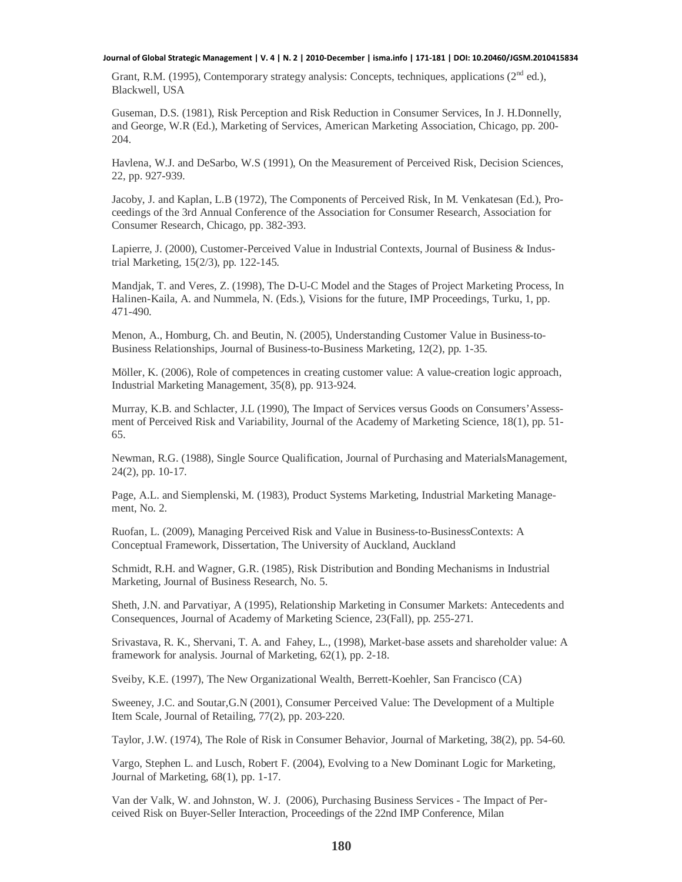Grant, R.M. (1995), Contemporary strategy analysis: Concepts, techniques, applications (2<sup>nd</sup> ed.), Blackwell, USA

Guseman, D.S. (1981), Risk Perception and Risk Reduction in Consumer Services, In J. H.Donnelly, and George, W.R (Ed.), Marketing of Services, American Marketing Association, Chicago, pp. 200- 204.

Havlena, W.J. and DeSarbo, W.S (1991), On the Measurement of Perceived Risk, Decision Sciences, 22, pp. 927-939.

Jacoby, J. and Kaplan, L.B (1972), The Components of Perceived Risk, In M. Venkatesan (Ed.), Proceedings of the 3rd Annual Conference of the Association for Consumer Research, Association for Consumer Research, Chicago, pp. 382-393.

Lapierre, J. (2000), Customer-Perceived Value in Industrial Contexts, Journal of Business & Industrial Marketing, 15(2/3), pp. 122-145.

Mandjak, T. and Veres, Z. (1998), The D-U-C Model and the Stages of Project Marketing Process, In Halinen-Kaila, A. and Nummela, N. (Eds.), Visions for the future, IMP Proceedings, Turku, 1, pp. 471-490.

Menon, A., Homburg, Ch. and Beutin, N. (2005), Understanding Customer Value in Business-to-Business Relationships, Journal of Business-to-Business Marketing, 12(2), pp. 1-35.

Möller, K. (2006), Role of competences in creating customer value: A value-creation logic approach, Industrial Marketing Management, 35(8), pp. 913-924.

Murray, K.B. and Schlacter, J.L (1990), The Impact of Services versus Goods on Consumers'Assessment of Perceived Risk and Variability, Journal of the Academy of Marketing Science, 18(1), pp. 51- 65.

Newman, R.G. (1988), Single Source Qualification, Journal of Purchasing and MaterialsManagement, 24(2), pp. 10-17.

Page, A.L. and Siemplenski, M. (1983), Product Systems Marketing, Industrial Marketing Management, No. 2.

Ruofan, L. (2009), Managing Perceived Risk and Value in Business-to-BusinessContexts: A Conceptual Framework, Dissertation, The University of Auckland, Auckland

Schmidt, R.H. and Wagner, G.R. (1985), Risk Distribution and Bonding Mechanisms in Industrial Marketing, Journal of Business Research, No. 5.

Sheth, J.N. and Parvatiyar, A (1995), Relationship Marketing in Consumer Markets: Antecedents and Consequences, Journal of Academy of Marketing Science, 23(Fall), pp. 255-271.

Srivastava, R. K., Shervani, T. A. and Fahey, L., (1998), Market-base assets and shareholder value: A framework for analysis. Journal of Marketing, 62(1), pp. 2-18.

Sveiby, K.E. (1997), The New Organizational Wealth, Berrett-Koehler, San Francisco (CA)

Sweeney, J.C. and Soutar,G.N (2001), Consumer Perceived Value: The Development of a Multiple Item Scale, Journal of Retailing, 77(2), pp. 203-220.

Taylor, J.W. (1974), The Role of Risk in Consumer Behavior, Journal of Marketing, 38(2), pp. 54-60.

Vargo, Stephen L. and Lusch, Robert F. (2004), Evolving to a New Dominant Logic for Marketing, Journal of Marketing, 68(1), pp. 1-17.

Van der Valk, W. and Johnston, W. J. (2006), Purchasing Business Services - The Impact of Perceived Risk on Buyer-Seller Interaction, Proceedings of the 22nd IMP Conference, Milan